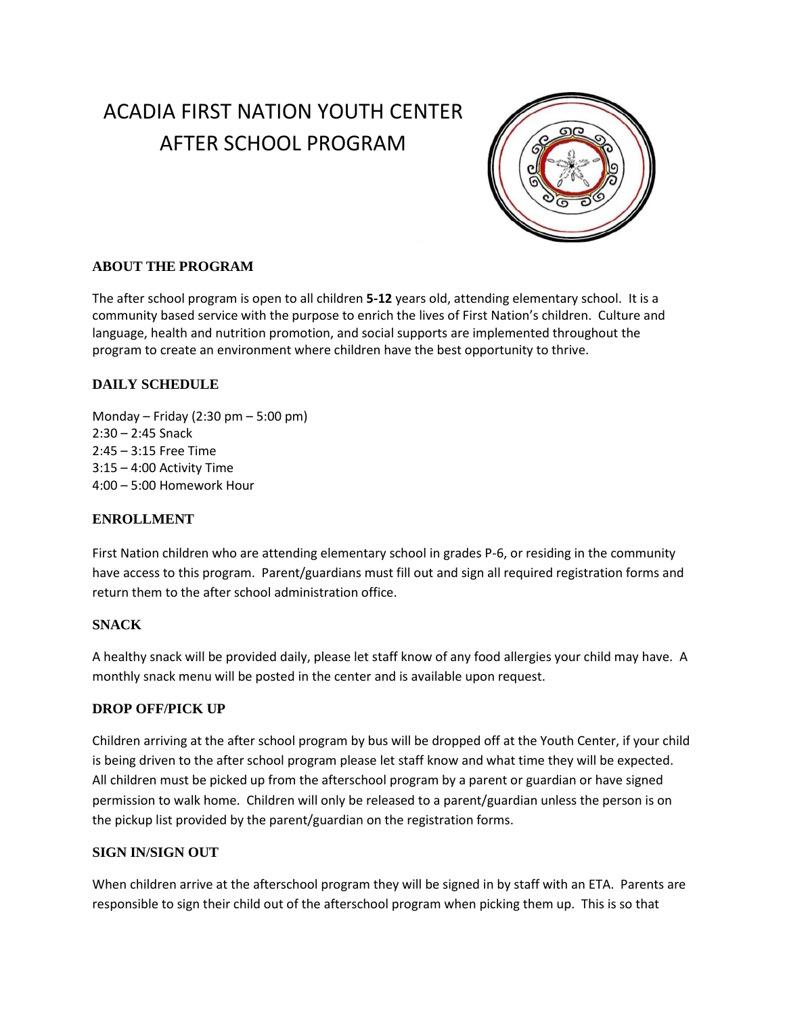# ACADIA FIRST NATION YOUTH CENTER AFTER SCHOOL PROGRAM



# **ABOUT THE PROGRAM**

The after school program is open to all children **5-12** years old, attending elementary school. It is a community based service with the purpose to enrich the lives of First Nation's children. Culture and language, health and nutrition promotion, and social supports are implemented throughout the program to create an environment where children have the best opportunity to thrive.

## **DAILY SCHEDULE**

Monday – Friday (2:30 pm – 5:00 pm) 2:30 – 2:45 Snack 2:45 – 3:15 Free Time 3:15 – 4:00 Activity Time 4:00 – 5:00 Homework Hour

## **ENROLLMENT**

First Nation children who are attending elementary school in grades P-6, or residing in the community have access to this program. Parent/guardians must fill out and sign all required registration forms and return them to the after school administration office.

## **SNACK**

A healthy snack will be provided daily, please let staff know of any food allergies your child may have. A monthly snack menu will be posted in the center and is available upon request.

## **DROP OFF/PICK UP**

Children arriving at the after school program by bus will be dropped off at the Youth Center, if your child is being driven to the after school program please let staff know and what time they will be expected. All children must be picked up from the afterschool program by a parent or guardian or have signed permission to walk home. Children will only be released to a parent/guardian unless the person is on the pickup list provided by the parent/guardian on the registration forms.

#### **SIGN IN/SIGN OUT**

When children arrive at the afterschool program they will be signed in by staff with an ETA. Parents are responsible to sign their child out of the afterschool program when picking them up. This is so that